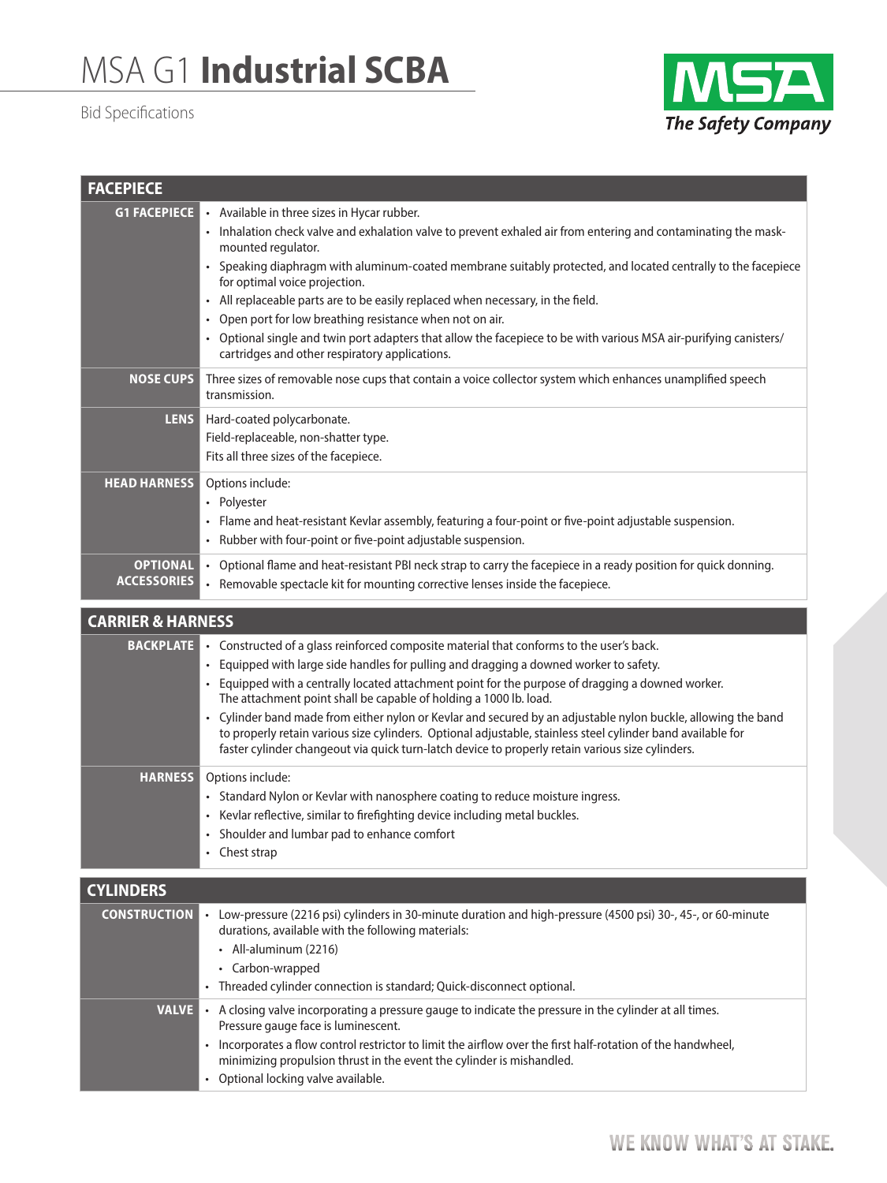## MSA G1 **Industrial SCBA**

## Bid Specifications



| <b>FACEPIECE</b>                      |                                                                                                                                                                                                                                                                                                                                                                                                                                                                                                                                                                                                                                                                                                             |  |
|---------------------------------------|-------------------------------------------------------------------------------------------------------------------------------------------------------------------------------------------------------------------------------------------------------------------------------------------------------------------------------------------------------------------------------------------------------------------------------------------------------------------------------------------------------------------------------------------------------------------------------------------------------------------------------------------------------------------------------------------------------------|--|
| <b>G1 FACEPIECE</b>                   | • Available in three sizes in Hycar rubber.<br>• Inhalation check valve and exhalation valve to prevent exhaled air from entering and contaminating the mask-<br>mounted regulator.<br>• Speaking diaphragm with aluminum-coated membrane suitably protected, and located centrally to the facepiece<br>for optimal voice projection.<br>• All replaceable parts are to be easily replaced when necessary, in the field.<br>Open port for low breathing resistance when not on air.<br>• Optional single and twin port adapters that allow the facepiece to be with various MSA air-purifying canisters/<br>cartridges and other respiratory applications.                                                  |  |
| <b>NOSE CUPS</b>                      | Three sizes of removable nose cups that contain a voice collector system which enhances unamplified speech<br>transmission.                                                                                                                                                                                                                                                                                                                                                                                                                                                                                                                                                                                 |  |
| <b>LENS</b>                           | Hard-coated polycarbonate.<br>Field-replaceable, non-shatter type.<br>Fits all three sizes of the facepiece.                                                                                                                                                                                                                                                                                                                                                                                                                                                                                                                                                                                                |  |
| <b>HEAD HARNESS</b>                   | Options include:<br>• Polyester<br>• Flame and heat-resistant Kevlar assembly, featuring a four-point or five-point adjustable suspension.<br>• Rubber with four-point or five-point adjustable suspension.                                                                                                                                                                                                                                                                                                                                                                                                                                                                                                 |  |
| <b>OPTIONAL</b><br><b>ACCESSORIES</b> | • Optional flame and heat-resistant PBI neck strap to carry the facepiece in a ready position for quick donning.<br>Removable spectacle kit for mounting corrective lenses inside the facepiece.<br>$\bullet$                                                                                                                                                                                                                                                                                                                                                                                                                                                                                               |  |
| <b>CARRIER &amp; HARNESS</b>          |                                                                                                                                                                                                                                                                                                                                                                                                                                                                                                                                                                                                                                                                                                             |  |
| <b>BACKPLATE</b>                      | • Constructed of a glass reinforced composite material that conforms to the user's back.<br>Equipped with large side handles for pulling and dragging a downed worker to safety.<br>$\bullet$<br>• Equipped with a centrally located attachment point for the purpose of dragging a downed worker.<br>The attachment point shall be capable of holding a 1000 lb. load.<br>• Cylinder band made from either nylon or Kevlar and secured by an adjustable nylon buckle, allowing the band<br>to properly retain various size cylinders. Optional adjustable, stainless steel cylinder band available for<br>faster cylinder changeout via quick turn-latch device to properly retain various size cylinders. |  |
| <b>HARNESS</b>                        | Options include:<br>• Standard Nylon or Kevlar with nanosphere coating to reduce moisture ingress.<br>• Kevlar reflective, similar to firefighting device including metal buckles.<br>• Shoulder and lumbar pad to enhance comfort<br>• Chest strap                                                                                                                                                                                                                                                                                                                                                                                                                                                         |  |
| <b>CYLINDERS</b>                      |                                                                                                                                                                                                                                                                                                                                                                                                                                                                                                                                                                                                                                                                                                             |  |
| <b>CONSTRUCTION</b>                   | • Low-pressure (2216 psi) cylinders in 30-minute duration and high-pressure (4500 psi) 30-, 45-, or 60-minute<br>durations, available with the following materials:<br>• All-aluminum (2216)<br>• Carbon-wrapped<br>• Threaded cylinder connection is standard; Quick-disconnect optional.                                                                                                                                                                                                                                                                                                                                                                                                                  |  |
| VALVE                                 | . A closing valve incorporating a pressure gauge to indicate the pressure in the cylinder at all times.<br>Pressure gauge face is luminescent.<br>• Incorporates a flow control restrictor to limit the airflow over the first half-rotation of the handwheel,<br>minimizing propulsion thrust in the event the cylinder is mishandled.<br>• Optional locking valve available.                                                                                                                                                                                                                                                                                                                              |  |